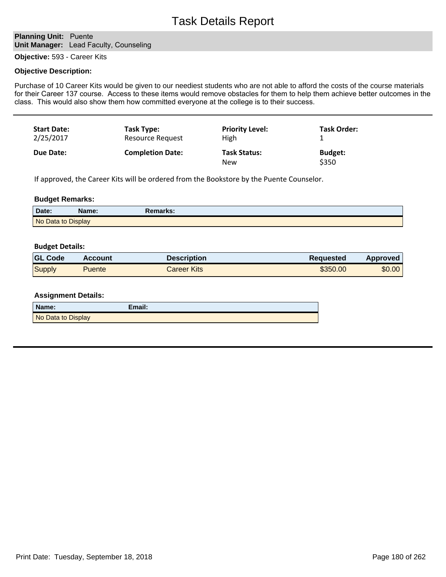# **Planning Unit: Puente Unit Manager:** Lead Faculty, Counseling

**Objective:** 593 - Career Kits

#### **Objective Description:**

Purchase of 10 Career Kits would be given to our neediest students who are not able to afford the costs of the course materials for their Career 137 course. Access to these items would remove obstacles for them to help them achieve better outcomes in the class. This would also show them how committed everyone at the college is to their success.

| <b>Start Date:</b> | Task Type:              | <b>Priority Level:</b>     | Task Order:             |
|--------------------|-------------------------|----------------------------|-------------------------|
| 2/25/2017          | <b>Resource Request</b> | High                       |                         |
| Due Date:          | <b>Completion Date:</b> | <b>Task Status:</b><br>New | <b>Budget:</b><br>\$350 |

If approved, the Career Kits will be ordered from the Bookstore by the Puente Counselor.

#### **Budget Remarks:**

| Date:              | <b>Name:</b> | Remarks: |
|--------------------|--------------|----------|
| No Data to Display |              |          |

### **Budget Details:**

| <b>GL Code</b> | <b>Account</b> | Description               | <b>Requested</b> | <b>Approved</b> |
|----------------|----------------|---------------------------|------------------|-----------------|
| Supply         | Puente         | <i><b>Career Kits</b></i> | \$350.00         | \$0.00          |

| Name:              | Email: |
|--------------------|--------|
| No Data to Display |        |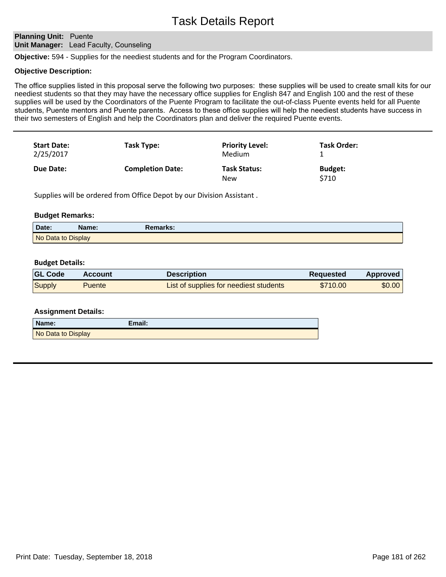## **Planning Unit: Puente Unit Manager:** Lead Faculty, Counseling

**Objective:** 594 - Supplies for the neediest students and for the Program Coordinators.

#### **Objective Description:**

The office supplies listed in this proposal serve the following two purposes: these supplies will be used to create small kits for our neediest students so that they may have the necessary office supplies for English 847 and English 100 and the rest of these supplies will be used by the Coordinators of the Puente Program to facilitate the out-of-class Puente events held for all Puente students, Puente mentors and Puente parents. Access to these office supplies will help the neediest students have success in their two semesters of English and help the Coordinators plan and deliver the required Puente events.

| <b>Start Date:</b><br>2/25/2017 | Task Type:              | <b>Priority Level:</b><br>Medium | Task Order:             |
|---------------------------------|-------------------------|----------------------------------|-------------------------|
| Due Date:                       | <b>Completion Date:</b> | <b>Task Status:</b><br>New       | <b>Budget:</b><br>\$710 |

Supplies will be ordered from Office Depot by our Division Assistant .

#### **Budget Remarks:**

| Date:              | Name: | Remarks: |  |
|--------------------|-------|----------|--|
| No Data to Display |       |          |  |

### **Budget Details:**

| <b>GL Code</b> | <b>Account</b> | <b>Description</b>                     | Reguested | <b>Approved</b> |
|----------------|----------------|----------------------------------------|-----------|-----------------|
| Supply         | <b>Puente</b>  | List of supplies for neediest students | \$710.00  | \$0.00          |

| <b>Assignment Details:</b> |
|----------------------------|
|----------------------------|

| Name:              | Email: |
|--------------------|--------|
| No Data to Display |        |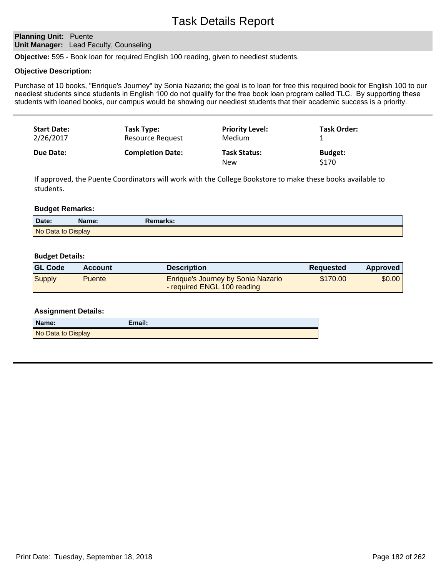## **Planning Unit: Puente Unit Manager:** Lead Faculty, Counseling

**Objective:** 595 - Book loan for required English 100 reading, given to neediest students.

#### **Objective Description:**

Purchase of 10 books, "Enrique's Journey" by Sonia Nazario; the goal is to loan for free this required book for English 100 to our neediest students since students in English 100 do not qualify for the free book loan program called TLC. By supporting these students with loaned books, our campus would be showing our neediest students that their academic success is a priority.

| <b>Start Date:</b> | Task Type:              | <b>Priority Level:</b>            | <b>Task Order:</b>      |
|--------------------|-------------------------|-----------------------------------|-------------------------|
| 2/26/2017          | <b>Resource Request</b> | Medium                            |                         |
| Due Date:          | <b>Completion Date:</b> | <b>Task Status:</b><br><b>New</b> | <b>Budget:</b><br>\$170 |

If approved, the Puente Coordinators will work with the College Bookstore to make these books available to students.

#### **Budget Remarks:**

| Date:              | Name: | Remarks: \ |
|--------------------|-------|------------|
| No Data to Display |       |            |

#### **Budget Details:**

| <b>GL Code</b> | <b>Account</b> | <b>Description</b>                                                | <b>Requested</b> | <b>Approved</b> |
|----------------|----------------|-------------------------------------------------------------------|------------------|-----------------|
| Supply         | Puente         | Enrique's Journey by Sonia Nazario<br>- required ENGL 100 reading | \$170.00         | \$0.00          |

| Name:              | Email: |
|--------------------|--------|
| No Data to Display |        |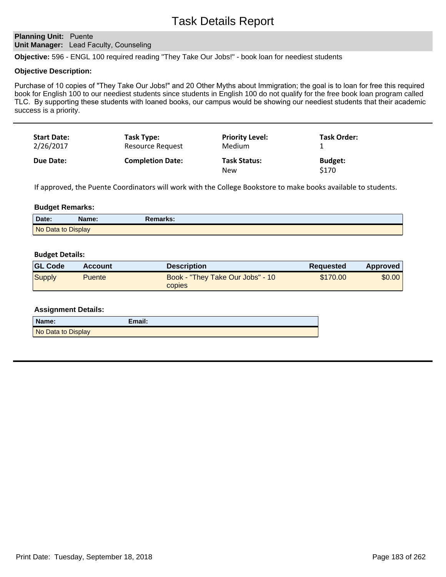# **Planning Unit: Puente Unit Manager:** Lead Faculty, Counseling

**Objective:** 596 - ENGL 100 required reading "They Take Our Jobs!" - book loan for neediest students

#### **Objective Description:**

Purchase of 10 copies of "They Take Our Jobs!" and 20 Other Myths about Immigration; the goal is to loan for free this required book for English 100 to our neediest students since students in English 100 do not qualify for the free book loan program called TLC. By supporting these students with loaned books, our campus would be showing our neediest students that their academic success is a priority.

| <b>Start Date:</b><br>2/26/2017 | Task Type:<br>Resource Request | <b>Priority Level:</b><br>Medium  | <b>Task Order:</b>      |  |
|---------------------------------|--------------------------------|-----------------------------------|-------------------------|--|
| Due Date:                       | <b>Completion Date:</b>        | <b>Task Status:</b><br><b>New</b> | <b>Budget:</b><br>\$170 |  |

If approved, the Puente Coordinators will work with the College Bookstore to make books available to students.

#### **Budget Remarks:**

| Date:              | Name: | <b>Remarks:</b> |  |
|--------------------|-------|-----------------|--|
| No Data to Display |       |                 |  |

#### **Budget Details:**

| <b>GL Code</b> | <b>Account</b> | <b>Description</b>                                | <b>Requested</b> | <b>Approved</b> |
|----------------|----------------|---------------------------------------------------|------------------|-----------------|
| Supply         | <b>Puente</b>  | Book - "They Take Our Jobs" - 10<br><b>CODIES</b> | \$170.00         | \$0.00          |

| Name:              | Email: |
|--------------------|--------|
| No Data to Display |        |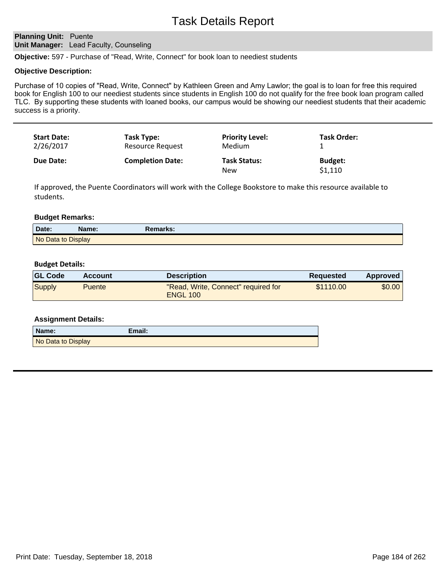# **Planning Unit: Puente Unit Manager:** Lead Faculty, Counseling

**Objective:** 597 - Purchase of "Read, Write, Connect" for book loan to neediest students

#### **Objective Description:**

Purchase of 10 copies of "Read, Write, Connect" by Kathleen Green and Amy Lawlor; the goal is to loan for free this required book for English 100 to our neediest students since students in English 100 do not qualify for the free book loan program called TLC. By supporting these students with loaned books, our campus would be showing our neediest students that their academic success is a priority.

| <b>Start Date:</b><br>2/26/2017 | Task Type:<br>Resource Request | <b>Priority Level:</b><br>Medium | <b>Task Order:</b> |  |
|---------------------------------|--------------------------------|----------------------------------|--------------------|--|
| <b>Due Date:</b>                | <b>Completion Date:</b>        | <b>Task Status:</b>              | <b>Budget:</b>     |  |
|                                 |                                | New                              | \$1,110            |  |

If approved, the Puente Coordinators will work with the College Bookstore to make this resource available to students.

#### **Budget Remarks:**

| Date:              | <b>Name:</b> | Remarks: |
|--------------------|--------------|----------|
| No Data to Display |              |          |

#### **Budget Details:**

| <b>GL Code</b> | <b>Account</b> | <b>Description</b>                                     | <b>Requested</b> | Approved |
|----------------|----------------|--------------------------------------------------------|------------------|----------|
| <b>Supply</b>  | <b>Puente</b>  | "Read, Write, Connect" required for<br><b>ENGL 100</b> | \$1110.00        | \$0.00   |

| Name:              | Email: |
|--------------------|--------|
| No Data to Display |        |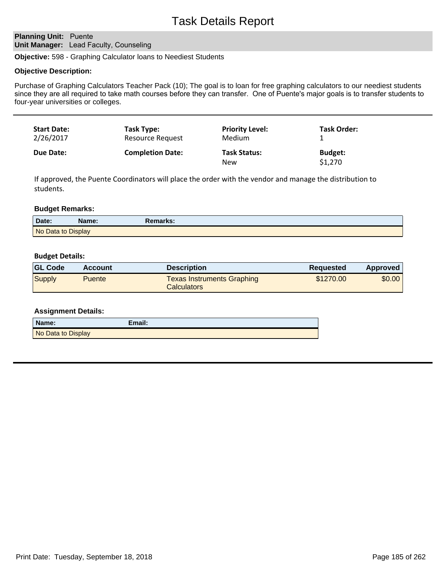# **Planning Unit: Puente Unit Manager:** Lead Faculty, Counseling

**Objective:** 598 - Graphing Calculator loans to Neediest Students

#### **Objective Description:**

Purchase of Graphing Calculators Teacher Pack (10); The goal is to loan for free graphing calculators to our neediest students since they are all required to take math courses before they can transfer. One of Puente's major goals is to transfer students to four-year universities or colleges.

| <b>Start Date:</b> | Task Type:              | <b>Priority Level:</b>            | <b>Task Order:</b>        |
|--------------------|-------------------------|-----------------------------------|---------------------------|
| 2/26/2017          | Resource Request        | <b>Medium</b>                     |                           |
| Due Date:          | <b>Completion Date:</b> | <b>Task Status:</b><br><b>New</b> | <b>Budget:</b><br>\$1,270 |

If approved, the Puente Coordinators will place the order with the vendor and manage the distribution to students.

#### **Budget Remarks:**

| Date:              | Name: | Remarks: \ |
|--------------------|-------|------------|
| No Data to Display |       |            |

#### **Budget Details:**

| <b>GL Code</b> | Account | <b>Description</b>                               | Requested | Approved |
|----------------|---------|--------------------------------------------------|-----------|----------|
| Supply         | Puente  | <b>Texas Instruments Graphing</b><br>Calculators | \$1270.00 | \$0.00   |

| Name:              | Email: |
|--------------------|--------|
| No Data to Display |        |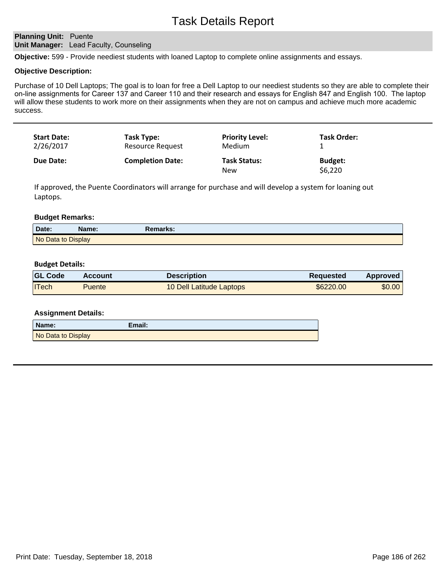## **Planning Unit: Puente Unit Manager:** Lead Faculty, Counseling

**Objective:** 599 - Provide neediest students with loaned Laptop to complete online assignments and essays.

#### **Objective Description:**

Purchase of 10 Dell Laptops; The goal is to loan for free a Dell Laptop to our neediest students so they are able to complete their on-line assignments for Career 137 and Career 110 and their research and essays for English 847 and English 100. The laptop will allow these students to work more on their assignments when they are not on campus and achieve much more academic success.

| <b>Start Date:</b> | Task Type:              | <b>Priority Level:</b>     | Task Order:               |
|--------------------|-------------------------|----------------------------|---------------------------|
| 2/26/2017          | <b>Resource Request</b> | Medium                     |                           |
| Due Date:          | <b>Completion Date:</b> | <b>Task Status:</b><br>New | <b>Budget:</b><br>\$6,220 |

If approved, the Puente Coordinators will arrange for purchase and will develop a system for loaning out Laptops.

#### **Budget Remarks:**

| Date:              | <b>Name:</b> | Remarks: |
|--------------------|--------------|----------|
| No Data to Display |              |          |

#### **Budget Details:**

| <b>GL Code</b> | Account | <b>Description</b>       | <b>Requested</b> | <b>Approved</b> |
|----------------|---------|--------------------------|------------------|-----------------|
| <b>ITech</b>   | Puente  | 10 Dell Latitude Laptops | \$6220.00        | \$0.00          |

| Name:              | Email: |
|--------------------|--------|
| No Data to Display |        |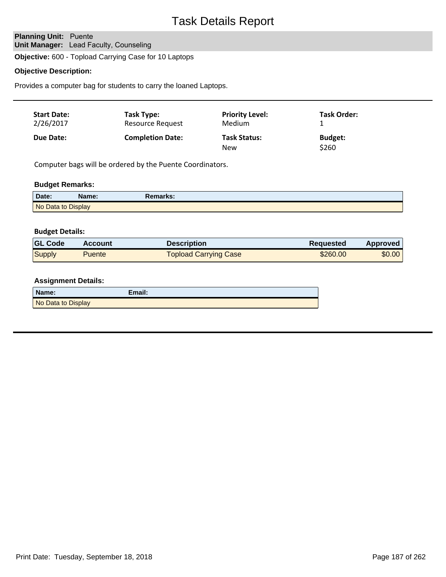# **Planning Unit: Puente Unit Manager:** Lead Faculty, Counseling

**Objective:** 600 - Topload Carrying Case for 10 Laptops

### **Objective Description:**

Provides a computer bag for students to carry the loaned Laptops.

| <b>Start Date:</b><br>2/26/2017 | Task Type:<br>Resource Request | <b>Priority Level:</b><br>Medium  | <b>Task Order:</b>      |  |
|---------------------------------|--------------------------------|-----------------------------------|-------------------------|--|
| Due Date:                       | <b>Completion Date:</b>        | <b>Task Status:</b><br><b>New</b> | <b>Budget:</b><br>\$260 |  |

Computer bags will be ordered by the Puente Coordinators.

# **Budget Remarks:**

| Date:              | Name: | Remarks: |  |
|--------------------|-------|----------|--|
| No Data to Display |       |          |  |

#### **Budget Details:**

| <b>GL Code</b> | <b>Account</b> | <b>Description</b>    | Reguested | Approved |
|----------------|----------------|-----------------------|-----------|----------|
| Supply         | <b>Puente</b>  | Topload Carrying Case | \$260.00  | \$0.00   |

| Name:              | Email: |
|--------------------|--------|
| No Data to Display |        |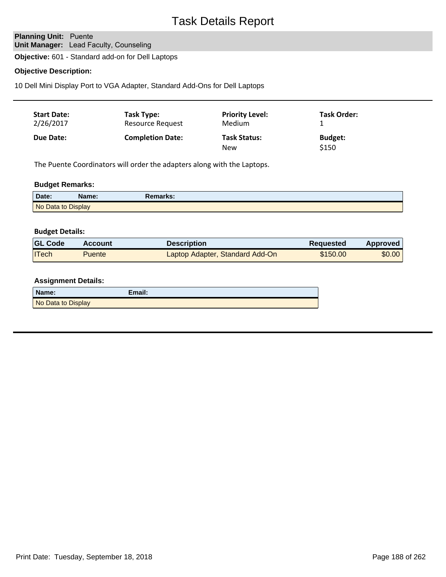# **Planning Unit: Puente Unit Manager:** Lead Faculty, Counseling

**Objective:** 601 - Standard add-on for Dell Laptops

## **Objective Description:**

10 Dell Mini Display Port to VGA Adapter, Standard Add-Ons for Dell Laptops

| <b>Start Date:</b> | Task Type:              | <b>Priority Level:</b>     | <b>Task Order:</b>      |
|--------------------|-------------------------|----------------------------|-------------------------|
| 2/26/2017          | Resource Request        | <b>Medium</b>              |                         |
| Due Date:          | <b>Completion Date:</b> | <b>Task Status:</b><br>New | <b>Budget:</b><br>\$150 |

The Puente Coordinators will order the adapters along with the Laptops.

# **Budget Remarks:**

| Date:              | Name: | Remarks: |  |
|--------------------|-------|----------|--|
| No Data to Display |       |          |  |

#### **Budget Details:**

| <b>GL Code</b> | <b>Account</b> | Description                     | <b>Requested</b> | Approved |
|----------------|----------------|---------------------------------|------------------|----------|
| <b>ITech</b>   | Puente         | Laptop Adapter, Standard Add-On | \$150.00         | \$0.00   |

| Name:              | Email: |
|--------------------|--------|
| No Data to Display |        |